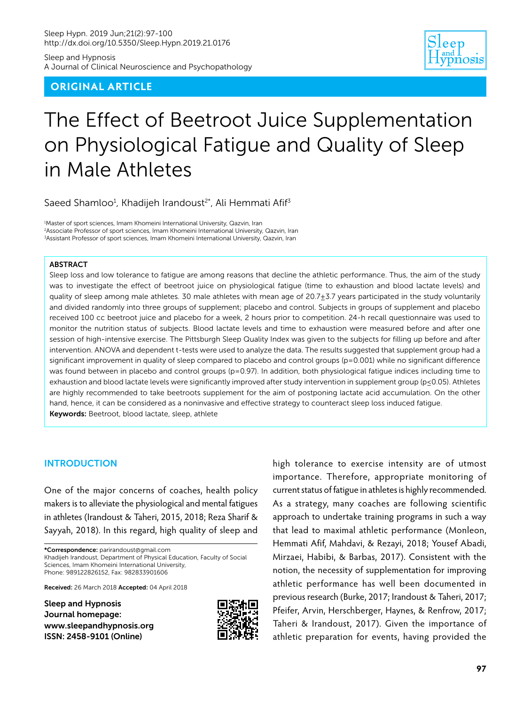Sleep and Hypnosis A Journal of Clinical Neuroscience and Psychopathology

# **ORIGINAL ARTICLE**



# The Effect of Beetroot Juice Supplementation on Physiological Fatigue and Quality of Sleep in Male Athletes

Saeed Shamloo<sup>1</sup>, Khadijeh Irandoust<sup>2\*</sup>, Ali Hemmati Afif<sup>3</sup>

1 Master of sport sciences, Imam Khomeini International University, Qazvin, Iran 2 Associate Professor of sport sciences, Imam Khomeini International University, Qazvin, Iran 3 Assistant Professor of sport sciences, Imam Khomeini International University, Qazvin, Iran

#### ABSTRACT

Sleep loss and low tolerance to fatigue are among reasons that decline the athletic performance. Thus, the aim of the study was to investigate the effect of beetroot juice on physiological fatigue (time to exhaustion and blood lactate levels) and quality of sleep among male athletes. 30 male athletes with mean age of  $20.7 \pm 3.7$  years participated in the study voluntarily and divided randomly into three groups of supplement; placebo and control. Subjects in groups of supplement and placebo received 100 cc beetroot juice and placebo for a week, 2 hours prior to competition. 24-h recall questionnaire was used to monitor the nutrition status of subjects. Blood lactate levels and time to exhaustion were measured before and after one session of high-intensive exercise. The Pittsburgh Sleep Quality Index was given to the subjects for filling up before and after intervention. ANOVA and dependent t-tests were used to analyze the data. The results suggested that supplement group had a significant improvement in quality of sleep compared to placebo and control groups (p=0.001) while no significant difference was found between in placebo and control groups (p=0.97). In addition, both physiological fatigue indices including time to exhaustion and blood lactate levels were significantly improved after study intervention in supplement group (p≤0.05). Athletes are highly recommended to take beetroots supplement for the aim of postponing lactate acid accumulation. On the other hand, hence, it can be considered as a noninvasive and effective strategy to counteract sleep loss induced fatigue. Keywords: Beetroot, blood lactate, sleep, athlete

### INTRODUCTION

One of the major concerns of coaches, health policy makers is to alleviate the physiological and mental fatigues in athletes (Irandoust & Taheri, 2015, 2018; Reza Sharif & Sayyah, 2018). In this regard, high quality of sleep and

\*Correspondence: parirandoust@gmail.com Khadijeh Irandoust, Department of Physical Education, Faculty of Social Sciences, Imam Khomeini International University, Phone: 989122826152, Fax: 982833901606

Received: 26 March 2018 Accepted: 04 April 2018

Sleep and Hypnosis Journal homepage: [www.sleepandhypnosis.org](http://www.sleepandhypnosis.org) ISSN: 2458-9101 (Online)



high tolerance to exercise intensity are of utmost importance. Therefore, appropriate monitoring of current status of fatigue in athletes is highly recommended. As a strategy, many coaches are following scientific approach to undertake training programs in such a way that lead to maximal athletic performance (Monleon, Hemmati Afif, Mahdavi, & Rezayi, 2018; Yousef Abadi, Mirzaei, Habibi, & Barbas, 2017). Consistent with the notion, the necessity of supplementation for improving athletic performance has well been documented in previous research (Burke, 2017; Irandoust & Taheri, 2017; Pfeifer, Arvin, Herschberger, Haynes, & Renfrow, 2017; Taheri & Irandoust, 2017). Given the importance of athletic preparation for events, having provided the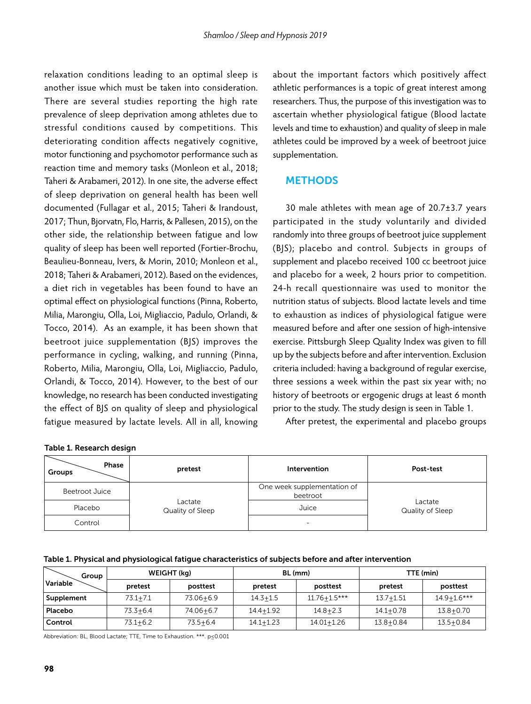relaxation conditions leading to an optimal sleep is another issue which must be taken into consideration. There are several studies reporting the high rate prevalence of sleep deprivation among athletes due to stressful conditions caused by competitions. This deteriorating condition affects negatively cognitive, motor functioning and psychomotor performance such as reaction time and memory tasks (Monleon et al., 2018; Taheri & Arabameri, 2012). In one site, the adverse effect of sleep deprivation on general health has been well documented (Fullagar et al., 2015; Taheri & Irandoust, 2017; Thun, Bjorvatn, Flo, Harris, & Pallesen, 2015), on the other side, the relationship between fatigue and low quality of sleep has been well reported (Fortier-Brochu, Beaulieu-Bonneau, Ivers, & Morin, 2010; Monleon et al., 2018; Taheri & Arabameri, 2012). Based on the evidences, a diet rich in vegetables has been found to have an optimal effect on physiological functions (Pinna, Roberto, Milia, Marongiu, Olla, Loi, Migliaccio, Padulo, Orlandi, & Tocco, 2014). As an example, it has been shown that beetroot juice supplementation (BJS) improves the performance in cycling, walking, and running (Pinna, Roberto, Milia, Marongiu, Olla, Loi, Migliaccio, Padulo, Orlandi, & Tocco, 2014). However, to the best of our knowledge, no research has been conducted investigating the effect of BJS on quality of sleep and physiological fatigue measured by lactate levels. All in all, knowing

about the important factors which positively affect athletic performances is a topic of great interest among researchers. Thus, the purpose of this investigation was to ascertain whether physiological fatigue (Blood lactate levels and time to exhaustion) and quality of sleep in male athletes could be improved by a week of beetroot juice supplementation.

# **METHODS**

30 male athletes with mean age of 20.7±3.7 years participated in the study voluntarily and divided randomly into three groups of beetroot juice supplement (BJS); placebo and control. Subjects in groups of supplement and placebo received 100 cc beetroot juice and placebo for a week, 2 hours prior to competition. 24-h recall questionnaire was used to monitor the nutrition status of subjects. Blood lactate levels and time to exhaustion as indices of physiological fatigue were measured before and after one session of high-intensive exercise. Pittsburgh Sleep Quality Index was given to fill up by the subjects before and after intervention. Exclusion criteria included: having a background of regular exercise, three sessions a week within the past six year with; no history of beetroots or ergogenic drugs at least 6 month prior to the study. The study design is seen in Table 1.

After pretest, the experimental and placebo groups

| Phase<br>Groups       | pretest                     | Intervention                            | Post-test                   |  |
|-----------------------|-----------------------------|-----------------------------------------|-----------------------------|--|
| <b>Beetroot Juice</b> |                             | One week supplementation of<br>beetroot |                             |  |
| Placebo               | Lactate<br>Quality of Sleep | Juice                                   | Lactate<br>Quality of Sleep |  |
| Control               |                             | $\overline{\phantom{a}}$                |                             |  |

| Group<br>Variable | WEIGHT (kg)  |              | BL (mm)       |                  | TTE (min)     |                 |
|-------------------|--------------|--------------|---------------|------------------|---------------|-----------------|
|                   | pretest      | posttest     | pretest       | posttest         | pretest       | posttest        |
| Supplement        | $73.1 + 7.1$ | 73.06+6.9    | $14.3 + 1.5$  | $11.76 + 1.5***$ | $13.7 + 1.51$ | $14.9 + 1.6***$ |
| Placebo           | $73.3 + 6.4$ | 74.06+6.7    | $14.4 + 1.92$ | $14.8 + 2.3$     | $14.1 + 0.78$ | $13.8 + 0.70$   |
| Control           | $73.1 + 6.2$ | $73.5 + 6.4$ | $14.1 + 1.23$ | 14.01+1.26       | $13.8 + 0.84$ | $13.5 + 0.84$   |

Abbreviation: BL, Blood Lactate; TTE, Time to Exhaustion. \*\*\*. p≤0.001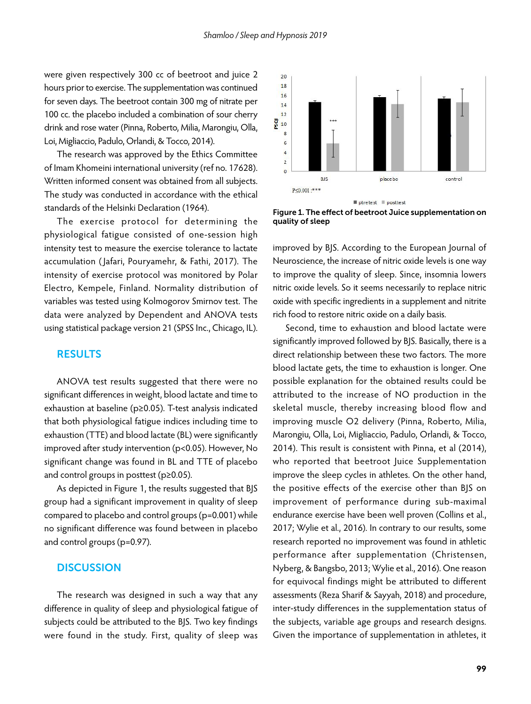were given respectively 300 cc of beetroot and juice 2 hours prior to exercise. The supplementation was continued for seven days. The beetroot contain 300 mg of nitrate per 100 cc. the placebo included a combination of sour cherry drink and rose water (Pinna, Roberto, Milia, Marongiu, Olla, Loi, Migliaccio, Padulo, Orlandi, & Tocco, 2014).

The research was approved by the Ethics Committee of Imam Khomeini international university (ref no. 17628). Written informed consent was obtained from all subjects. The study was conducted in accordance with the ethical standards of the Helsinki Declaration (1964).

The exercise protocol for determining the physiological fatigue consisted of one-session high intensity test to measure the exercise tolerance to lactate accumulation ( Jafari, Pouryamehr, & Fathi, 2017). The intensity of exercise protocol was monitored by Polar Electro, Kempele, Finland. Normality distribution of variables was tested using Kolmogorov Smirnov test. The data were analyzed by Dependent and ANOVA tests using statistical package version 21 (SPSS Inc., Chicago, IL).

## RESULTS

ANOVA test results suggested that there were no significant differences in weight, blood lactate and time to exhaustion at baseline (p≥0.05). T-test analysis indicated that both physiological fatigue indices including time to exhaustion (TTE) and blood lactate (BL) were significantly improved after study intervention (p<0.05). However, No significant change was found in BL and TTE of placebo and control groups in posttest (p≥0.05).

As depicted in Figure 1, the results suggested that BJS group had a significant improvement in quality of sleep compared to placebo and control groups (p=0.001) while no significant difference was found between in placebo and control groups (p=0.97).

# **DISCUSSION**

The research was designed in such a way that any difference in quality of sleep and physiological fatigue of subjects could be attributed to the BJS. Two key findings were found in the study. First, quality of sleep was



Figure 1. The effect of beetroot Juice supplementation on quality of sleep

improved by BJS. According to the European Journal of Neuroscience, the increase of nitric oxide levels is one way to improve the quality of sleep. Since, insomnia lowers nitric oxide levels. So it seems necessarily to replace nitric oxide with specific ingredients in a supplement and nitrite rich food to restore nitric oxide on a daily basis.

Second, time to exhaustion and blood lactate were significantly improved followed by BJS. Basically, there is a direct relationship between these two factors. The more blood lactate gets, the time to exhaustion is longer. One possible explanation for the obtained results could be attributed to the increase of NO production in the skeletal muscle, thereby increasing blood flow and improving muscle O2 delivery (Pinna, Roberto, Milia, Marongiu, Olla, Loi, Migliaccio, Padulo, Orlandi, & Tocco, 2014). This result is consistent with Pinna, et al (2014), who reported that beetroot Juice Supplementation improve the sleep cycles in athletes. On the other hand, the positive effects of the exercise other than BJS on improvement of performance during sub-maximal endurance exercise have been well proven (Collins et al., 2017; Wylie et al., 2016). In contrary to our results, some research reported no improvement was found in athletic performance after supplementation (Christensen, Nyberg, & Bangsbo, 2013; Wylie et al., 2016). One reason for equivocal findings might be attributed to different assessments (Reza Sharif & Sayyah, 2018) and procedure, inter-study differences in the supplementation status of the subjects, variable age groups and research designs. Given the importance of supplementation in athletes, it